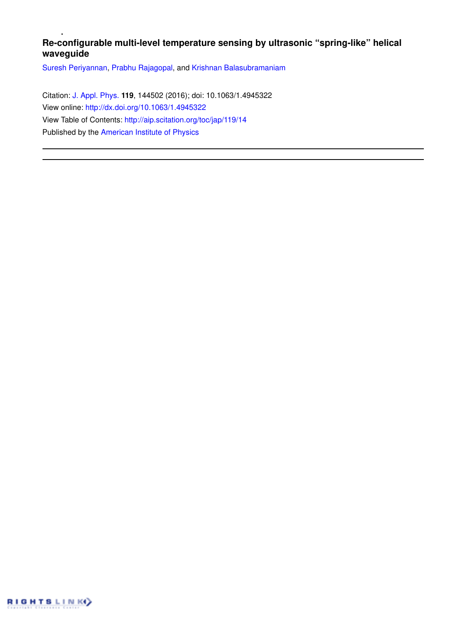# **Re-configurable multi-level temperature sensing by ultrasonic "spring-like" helical waveguide**

Suresh Periyannan, Prabhu Rajagopal, and Krishnan Balasubramaniam

Citation: J. Appl. Phys. **119**, 144502 (2016); doi: 10.1063/1.4945322 View online: http://dx.doi.org/10.1063/1.4945322 View Table of Contents: http://aip.scitation.org/toc/jap/119/14 Published by the American Institute of Physics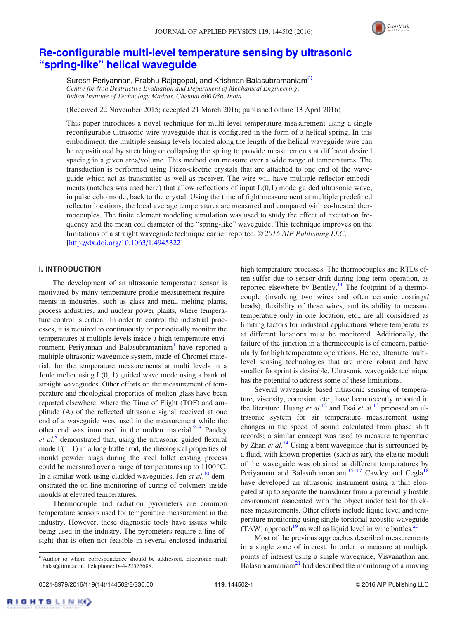

# Re-configurable multi-level temperature sensing by ultrasonic "spring-like" helical waveguide

Suresh Periyannan, Prabhu Rajagopal, and Krishnan Balasubramaniam<sup>a)</sup> Centre for Non Destructive Evaluation and Department of Mechanical Engineering, Indian Institute of Technology Madras, Chennai 600 036, India

(Received 22 November 2015; accepted 21 March 2016; published online 13 April 2016)

This paper introduces a novel technique for multi-level temperature measurement using a single reconfigurable ultrasonic wire waveguide that is configured in the form of a helical spring. In this embodiment, the multiple sensing levels located along the length of the helical waveguide wire can be repositioned by stretching or collapsing the spring to provide measurements at different desired spacing in a given area/volume. This method can measure over a wide range of temperatures. The transduction is performed using Piezo-electric crystals that are attached to one end of the waveguide which act as transmitter as well as receiver. The wire will have multiple reflector embodiments (notches was used here) that allow reflections of input  $L(0,1)$  mode guided ultrasonic wave, in pulse echo mode, back to the crystal. Using the time of fight measurement at multiple predefined reflector locations, the local average temperatures are measured and compared with co-located thermocouples. The finite element modeling simulation was used to study the effect of excitation frequency and the mean coil diameter of the "spring-like" waveguide. This technique improves on the limitations of a straight waveguide technique earlier reported.  $\odot$  2016 AIP Publishing LLC. [http://dx.doi.org/10.1063/1.4945322]

## I. INTRODUCTION

The development of an ultrasonic temperature sensor is motivated by many temperature profile measurement requirements in industries, such as glass and metal melting plants, process industries, and nuclear power plants, where temperature control is critical. In order to control the industrial processes, it is required to continuously or periodically monitor the temperatures at multiple levels inside a high temperature environment. Periyannan and Balasubramaniam<sup>1</sup> have reported a multiple ultrasonic waveguide system, made of Chromel material, for the temperature measurements at multi levels in a Joule melter using L(0, 1) guided wave mode using a bank of straight waveguides. Other efforts on the measurement of temperature and rheological properties of molten glass have been reported elsewhere, where the Time of Flight (TOF) and amplitude (A) of the reflected ultrasonic signal received at one end of a waveguide were used in the measurement while the other end was immersed in the molten material. $2^{-8}$  Pandey et  $al$ .<sup>9</sup> demonstrated that, using the ultrasonic guided flexural mode  $F(1, 1)$  in a long buffer rod, the rheological properties of mould powder slags during the steel billet casting process could be measured over a range of temperatures up to  $1100^{\circ}$ C. In a similar work using cladded waveguides, Jen et  $al$ <sup>10</sup> demonstrated the on-line monitoring of curing of polymers inside moulds at elevated temperatures.

Thermocouple and radiation pyrometers are common temperature sensors used for temperature measurement in the industry. However, these diagnostic tools have issues while being used in the industry. The pyrometers require a line-ofsight that is often not feasible in several enclosed industrial high temperature processes. The thermocouples and RTDs often suffer due to sensor drift during long term operation, as reported elsewhere by Bentley.<sup>11</sup> The footprint of a thermocouple (involving two wires and often ceramic coatings/ beads), flexibility of these wires, and its ability to measure temperature only in one location, etc., are all considered as limiting factors for industrial applications where temperatures at different locations must be monitored. Additionally, the failure of the junction in a thermocouple is of concern, particularly for high temperature operations. Hence, alternate multilevel sensing technologies that are more robust and have smaller footprint is desirable. Ultrasonic waveguide technique has the potential to address some of these limitations.

Several waveguide based ultrasonic sensing of temperature, viscosity, corrosion, etc., have been recently reported in the literature. Huang et  $al$ <sup>12</sup> and Tsai et  $al$ <sup>13</sup> proposed an ultrasonic system for air temperature measurement using changes in the speed of sound calculated from phase shift records; a similar concept was used to measure temperature by Zhan et  $al$ .<sup>14</sup> Using a bent waveguide that is surrounded by a fluid, with known properties (such as air), the elastic moduli of the waveguide was obtained at different temperatures by Periyannan and Balasubramaniam.<sup>15–17</sup> Cawley and Cegla<sup>18</sup> have developed an ultrasonic instrument using a thin elongated strip to separate the transducer from a potentially hostile environment associated with the object under test for thickness measurements. Other efforts include liquid level and temperature monitoring using single torsional acoustic waveguide  $(TAW)$  approach<sup>19</sup> as well as liquid level in wine bottles.<sup>20</sup>

Most of the previous approaches described measurements in a single zone of interest. In order to measure at multiple points of interest using a single waveguide, Visvanathan and Balasubramaniam $^{21}$  had described the monitoring of a moving

**RIGHTSLINK** 

a)Author to whom correspondence should be addressed. Electronic mail: balas@iitm.ac.in. Telephone: 044-22575688.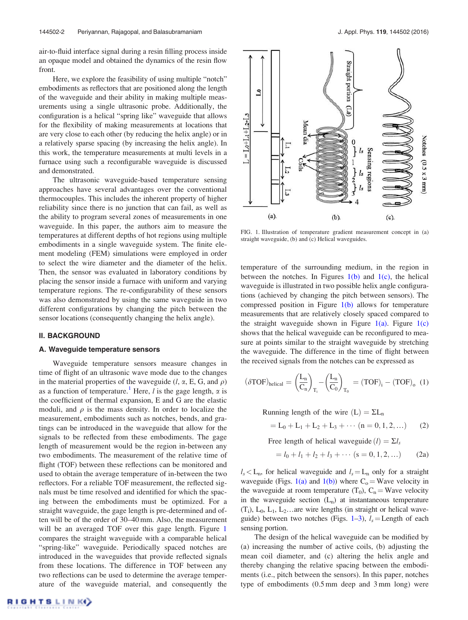air-to-fluid interface signal during a resin filling process inside an opaque model and obtained the dynamics of the resin flow front.

Here, we explore the feasibility of using multiple "notch" embodiments as reflectors that are positioned along the length of the waveguide and their ability in making multiple measurements using a single ultrasonic probe. Additionally, the configuration is a helical "spring like" waveguide that allows for the flexibility of making measurements at locations that are very close to each other (by reducing the helix angle) or in a relatively sparse spacing (by increasing the helix angle). In this work, the temperature measurements at multi levels in a furnace using such a reconfigurable waveguide is discussed and demonstrated.

The ultrasonic waveguide-based temperature sensing approaches have several advantages over the conventional thermocouples. This includes the inherent property of higher reliability since there is no junction that can fail, as well as the ability to program several zones of measurements in one waveguide. In this paper, the authors aim to measure the temperatures at different depths of hot regions using multiple embodiments in a single waveguide system. The finite element modeling (FEM) simulations were employed in order to select the wire diameter and the diameter of the helix. Then, the sensor was evaluated in laboratory conditions by placing the sensor inside a furnace with uniform and varying temperature regions. The re-configurability of these sensors was also demonstrated by using the same waveguide in two different configurations by changing the pitch between the sensor locations (consequently changing the helix angle).

## II. BACKGROUND

#### A. Waveguide temperature sensors

Waveguide temperature sensors measure changes in time of flight of an ultrasonic wave mode due to the changes in the material properties of the waveguide  $(l, \alpha, E, G, \text{ and } \rho)$ as a function of temperature.<sup>1</sup> Here, *l* is the gage length,  $\alpha$  is the coefficient of thermal expansion, E and G are the elastic moduli, and  $\rho$  is the mass density. In order to localize the measurement, embodiments such as notches, bends, and gratings can be introduced in the waveguide that allow for the signals to be reflected from these embodiments. The gage length of measurement would be the region in-between any two embodiments. The measurement of the relative time of flight (TOF) between these reflections can be monitored and used to obtain the average temperature of in-between the two reflectors. For a reliable TOF measurement, the reflected signals must be time resolved and identified for which the spacing between the embodiments must be optimized. For a straight waveguide, the gage length is pre-determined and often will be of the order of 30–40 mm. Also, the measurement will be an averaged TOF over this gage length. Figure 1 compares the straight waveguide with a comparable helical "spring-like" waveguide. Periodically spaced notches are introduced in the waveguides that provide reflected signals from these locations. The difference in TOF between any two reflections can be used to determine the average temperature of the waveguide material, and consequently the



FIG. 1. Illustration of temperature gradient measurement concept in (a) straight waveguide, (b) and (c) Helical waveguides.

temperature of the surrounding medium, in the region in between the notches. In Figures  $1(b)$  and  $1(c)$ , the helical waveguide is illustrated in two possible helix angle configurations (achieved by changing the pitch between sensors). The compressed position in Figure 1(b) allows for temperature measurements that are relatively closely spaced compared to the straight waveguide shown in Figure  $1(a)$ . Figure  $1(c)$ shows that the helical waveguide can be reconfigured to measure at points similar to the straight waveguide by stretching the waveguide. The difference in the time of flight between the received signals from the notches can be expressed as

$$
(\delta \text{TOF})_{\text{helical}} = \left(\frac{L_n}{C_n}\right)_{T_i} - \left(\frac{L_n}{C_0}\right)_{T_0} = (\text{TOF})_i - (\text{TOF})_0 \tag{1}
$$

Running length of the wire  $(L) = \Sigma L_n$ 

$$
= L_0 + L_1 + L_2 + L_3 + \cdots (n = 0, 1, 2, \ldots)
$$
 (2)

Free length of helical waveguide  $(l) = \Sigma l_s$ 

$$
= l_0 + l_1 + l_2 + l_3 + \cdots (s = 0, 1, 2, \ldots) \qquad (2a)
$$

 $l_s$  < L<sub>n</sub>, for helical waveguide and  $l_s = L_n$  only for a straight waveguide (Figs. 1(a) and 1(b)) where  $C_0 = W$ ave velocity in the waveguide at room temperature  $(T_0)$ ,  $C_n =$  Wave velocity in the waveguide section  $(L_n)$  at instantaneous temperature  $(T_i)$ ,  $L_0$ ,  $L_1$ ,  $L_2$ ... are wire lengths (in straight or helical waveguide) between two notches (Figs. 1–3),  $l_s =$ Length of each sensing portion.

The design of the helical waveguide can be modified by (a) increasing the number of active coils, (b) adjusting the mean coil diameter, and (c) altering the helix angle and thereby changing the relative spacing between the embodiments (i.e., pitch between the sensors). In this paper, notches type of embodiments (0.5 mm deep and 3 mm long) were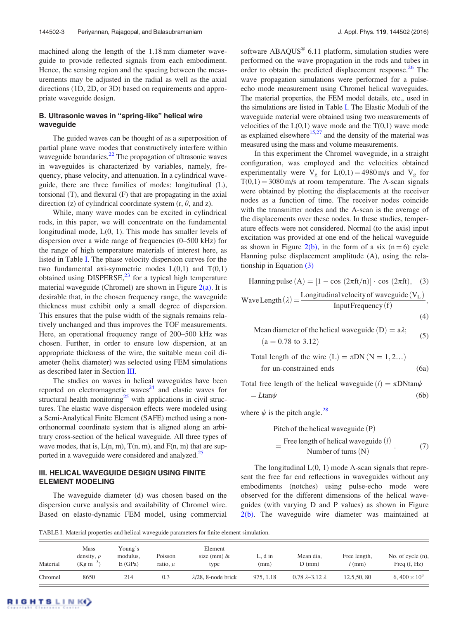machined along the length of the 1.18 mm diameter waveguide to provide reflected signals from each embodiment. Hence, the sensing region and the spacing between the measurements may be adjusted in the radial as well as the axial directions (1D, 2D, or 3D) based on requirements and appropriate waveguide design.

## B. Ultrasonic waves in "spring-like" helical wire waveguide

The guided waves can be thought of as a superposition of partial plane wave modes that constructively interfere within waveguide boundaries.<sup>22</sup> The propagation of ultrasonic waves in waveguides is characterized by variables, namely, frequency, phase velocity, and attenuation. In a cylindrical waveguide, there are three families of modes: longitudinal (L), torsional (T), and flexural (F) that are propagating in the axial direction (z) of cylindrical coordinate system  $(r, \theta, \text{ and } z)$ .

While, many wave modes can be excited in cylindrical rods, in this paper, we will concentrate on the fundamental longitudinal mode, L(0, 1). This mode has smaller levels of dispersion over a wide range of frequencies (0–500 kHz) for the range of high temperature materials of interest here, as listed in Table I. The phase velocity dispersion curves for the two fundamental axi-symmetric modes  $L(0,1)$  and  $T(0,1)$ obtained using DISPERSE, $^{23}$  for a typical high temperature material waveguide (Chromel) are shown in Figure  $2(a)$ . It is desirable that, in the chosen frequency range, the waveguide thickness must exhibit only a small degree of dispersion. This ensures that the pulse width of the signals remains relatively unchanged and thus improves the TOF measurements. Here, an operational frequency range of 200–500 kHz was chosen. Further, in order to ensure low dispersion, at an appropriate thickness of the wire, the suitable mean coil diameter (helix diameter) was selected using FEM simulations as described later in Section III.

The studies on waves in helical waveguides have been reported on electromagnetic waves<sup>24</sup> and elastic waves for structural health monitoring<sup>25</sup> with applications in civil structures. The elastic wave dispersion effects were modeled using a Semi-Analytical Finite Element (SAFE) method using a nonorthonormal coordinate system that is aligned along an arbitrary cross-section of the helical waveguide. All three types of wave modes, that is,  $L(n, m)$ ,  $T(n, m)$ , and  $F(n, m)$  that are supported in a waveguide were considered and analyzed.<sup>25</sup>

#### III. HELICAL WAVEGUIDE DESIGN USING FINITE ELEMENT MODELING

The waveguide diameter (d) was chosen based on the dispersion curve analysis and availability of Chromel wire. Based on elasto-dynamic FEM model, using commercial

software  $ABAQUS^*$  6.11 platform, simulation studies were performed on the wave propagation in the rods and tubes in order to obtain the predicted displacement response.<sup>26</sup> The wave propagation simulations were performed for a pulseecho mode measurement using Chromel helical waveguides. The material properties, the FEM model details, etc., used in the simulations are listed in Table I. The Elastic Moduli of the waveguide material were obtained using two measurements of velocities of the  $L(0,1)$  wave mode and the  $T(0,1)$  wave mode as explained elsewhere $15,27$  and the density of the material was measured using the mass and volume measurements.

In this experiment the Chromel waveguide, in a straight configuration, was employed and the velocities obtained experimentally were  $V_g$  for  $L(0,1) = 4980 \text{ m/s}$  and  $V_g$  for  $T(0,1) = 3080$  m/s at room temperature. The A-scan signals were obtained by plotting the displacements at the receiver nodes as a function of time. The receiver nodes coincide with the transmitter nodes and the A-scan is the average of the displacements over these nodes. In these studies, temperature effects were not considered. Normal (to the axis) input excitation was provided at one end of the helical waveguide as shown in Figure 2(b), in the form of a six ( $n = 6$ ) cycle Hanning pulse displacement amplitude (A), using the relationship in Equation (3)

Hanning pulse  $(A) = [1 - \cos (2\pi ft/n)] \cdot \cos (2\pi ft),$  (3) Wave Length $(\lambda) = \frac{\text{Longitudinal velocity of waveguide} (V_L)}{\text{Input Frequency}(f)},$ 

$$
^{(4)}
$$

Mean diameter of the helical waveguide (D) = 
$$
a\lambda
$$
;  
(a = 0.78 to 3.12) (5)

Total length of the wire (L) = 
$$
\pi
$$
DN (N = 1, 2...)  
for un-constrained ends (6a)

Total free length of the helical waveguide  $(l) = \pi DN \tan \psi$  $= L \tan \psi$  (6b)

where  $\psi$  is the pitch angle.<sup>28</sup>

Pitch of the helical waveguide (P)  
= 
$$
\frac{\text{Free length of helical waveguide} (l)}{\text{Number of turns} (N)}.
$$
 (7)

The longitudinal  $L(0, 1)$  mode A-scan signals that represent the free far end reflections in waveguides without any embodiments (notches) using pulse-echo mode were observed for the different dimensions of the helical waveguides (with varying D and P values) as shown in Figure 2(b). The waveguide wire diameter was maintained at

TABLE I. Material properties and helical waveguide parameters for finite element simulation.

| Material | <b>Mass</b><br>density, $\rho$<br>$(Kg m^{-3})$ | Young's<br>modulus,<br>E(GPa) | Poisson<br>ratio, $\mu$ | Element<br>size (mm) $&$<br>type | $\sim$ , d in<br>(mm) | Mean dia,<br>$D$ (mm)         | Free length,<br>$l$ (mm) | No. of cycle $(n)$ ,<br>Freq $(f, Hz)$ |
|----------|-------------------------------------------------|-------------------------------|-------------------------|----------------------------------|-----------------------|-------------------------------|--------------------------|----------------------------------------|
| Chromel  | 8650                                            | 214                           | 0.3                     | $\lambda$ /28, 8-node brick      | 975, 1.18             | $0.78 \lambda - 3.12 \lambda$ | 12.5,50,80               | 6, $400 \times 10^3$                   |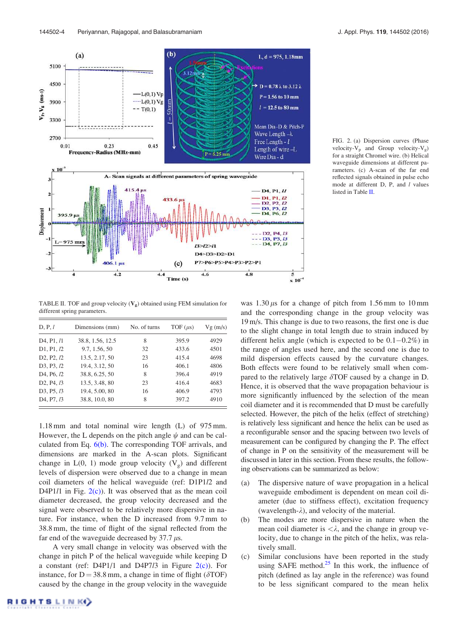

FIG. 2. (a) Dispersion curves (Phase velocity- $V_p$  and Group velocity- $V_g$ ) for a straight Chromel wire. (b) Helical waveguide dimensions at different parameters. (c) A-scan of the far end reflected signals obtained in pulse echo mode at different D, P, and *l* values listed in Table II.

TABLE II. TOF and group velocity  $(V_g)$  obtained using FEM simulation for different spring parameters.

| D, P, l                                                 | Dimensions (mm)  | No. of turns | TOF $(\mu s)$ | Vg(m/s) |
|---------------------------------------------------------|------------------|--------------|---------------|---------|
| D <sub>4</sub> , P <sub>1</sub> , / <sub>1</sub>        | 38.8, 1.56, 12.5 | 8            | 395.9         | 4929    |
| D1, P1, I2                                              | 9.7, 1.56, 50    | 32           | 433.6         | 4501    |
| D <sub>2</sub> , P <sub>2</sub> , <i>l</i> <sub>2</sub> | 13.5, 2.17, 50   | 23           | 415.4         | 4698    |
| D <sub>3</sub> , P <sub>3</sub> , <i>l</i> <sub>2</sub> | 19.4, 3.12, 50   | 16           | 406.1         | 4806    |
| D <sub>4</sub> , P <sub>6</sub> , <i>l</i> <sub>2</sub> | 38.8, 6.25, 50   | 8            | 396.4         | 4919    |
| D <sub>2</sub> , P <sub>4</sub> , <i>l</i> <sub>3</sub> | 13.5, 3.48, 80   | 23           | 416.4         | 4683    |
| D3, P5, 13                                              | 19.4, 5.00, 80   | 16           | 406.9         | 4793    |
| D <sub>4</sub> , P <sub>7</sub> , <i>l</i> <sub>3</sub> | 38.8, 10.0, 80   | 8            | 397.2         | 4910    |

1.18 mm and total nominal wire length (L) of 975 mm. However, the L depends on the pitch angle  $\psi$  and can be calculated from Eq. 6(b). The corresponding TOF arrivals, and dimensions are marked in the A-scan plots. Significant change in  $L(0, 1)$  mode group velocity  $(V_g)$  and different levels of dispersion were observed due to a change in mean coil diameters of the helical waveguide (ref: D1P1/2 and D4P1 $l1$  in Fig.  $2(c)$ ). It was observed that as the mean coil diameter decreased, the group velocity decreased and the signal were observed to be relatively more dispersive in nature. For instance, when the D increased from 9.7 mm to 38.8 mm, the time of flight of the signal reflected from the far end of the waveguide decreased by  $37.7 \mu s$ .

A very small change in velocity was observed with the change in pitch P of the helical waveguide while keeping D a constant (ref: D4P1/1 and D4P7*l*3 in Figure  $2(c)$ ). For instance, for  $D = 38.8$  mm, a change in time of flight ( $\delta \text{TOF}$ ) caused by the change in the group velocity in the waveguide

different helix angle (which is expected to be  $0.1-0.2\%$ ) in the range of angles used here, and the second one is due to mild dispersion effects caused by the curvature changes. Both effects were found to be relatively small when compared to the relatively large  $\delta$ TOF caused by a change in D. Hence, it is observed that the wave propagation behaviour is more significantly influenced by the selection of the mean coil diameter and it is recommended that D must be carefully selected. However, the pitch of the helix (effect of stretching) is relatively less significant and hence the helix can be used as a reconfigurable sensor and the spacing between two levels of measurement can be configured by changing the P. The effect of change in P on the sensitivity of the measurement will be discussed in later in this section. From these results, the following observations can be summarized as below: (a) The dispersive nature of wave propagation in a helical waveguide embodiment is dependent on mean coil diameter (due to stiffness effect), excitation frequency (wavelength- $\lambda$ ), and velocity of the material.

(b) The modes are more dispersive in nature when the mean coil diameter is  $\langle \lambda \rangle$ , and the change in group velocity, due to change in the pitch of the helix, was relatively small.

was  $1.30 \mu s$  for a change of pitch from 1.56 mm to 10 mm and the corresponding change in the group velocity was 19 m/s. This change is due to two reasons, the first one is due to the slight change in total length due to strain induced by

(c) Similar conclusions have been reported in the study using SAFE method. $25$  In this work, the influence of pitch (defined as lay angle in the reference) was found to be less significant compared to the mean helix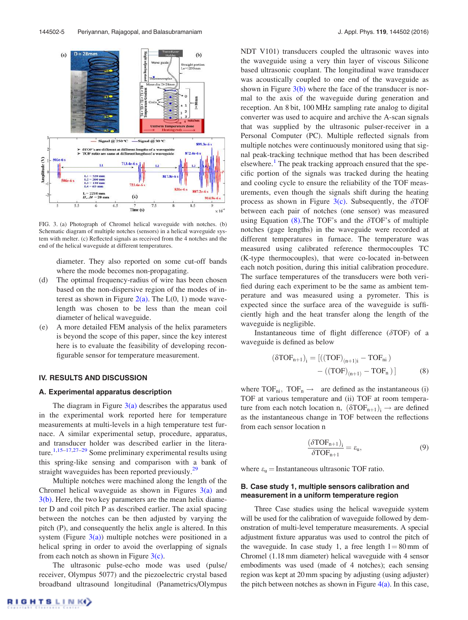

FIG. 3. (a) Photograph of Chromel helical waveguide with notches. (b) Schematic diagram of multiple notches (sensors) in a helical waveguide system with melter. (c) Reflected signals as received from the 4 notches and the end of the helical waveguide at different temperatures.

diameter. They also reported on some cut-off bands where the mode becomes non-propagating.

- (d) The optimal frequency-radius of wire has been chosen based on the non-dispersive region of the modes of interest as shown in Figure 2(a). The  $L(0, 1)$  mode wavelength was chosen to be less than the mean coil diameter of helical waveguide.
- (e) A more detailed FEM analysis of the helix parameters is beyond the scope of this paper, since the key interest here is to evaluate the feasibility of developing reconfigurable sensor for temperature measurement.

#### IV. RESULTS AND DISCUSSION

#### A. Experimental apparatus description

The diagram in Figure  $3(a)$  describes the apparatus used in the experimental work reported here for temperature measurements at multi-levels in a high temperature test furnace. A similar experimental setup, procedure, apparatus, and transducer holder was described earlier in the literature.<sup>1,15–17,27–29</sup> Some preliminary experimental results using this spring-like sensing and comparison with a bank of straight waveguides has been reported previously.<sup>29</sup>

Multiple notches were machined along the length of the Chromel helical waveguide as shown in Figures  $3(a)$  and 3(b). Here, the two key parameters are the mean helix diameter D and coil pitch P as described earlier. The axial spacing between the notches can be then adjusted by varying the pitch (P), and consequently the helix angle is altered. In this system (Figure  $3(a)$ ) multiple notches were positioned in a helical spring in order to avoid the overlapping of signals from each notch as shown in Figure  $3(c)$ .

The ultrasonic pulse-echo mode was used (pulse/ receiver, Olympus 5077) and the piezoelectric crystal based broadband ultrasound longitudinal (Panametrics/Olympus NDT V101) transducers coupled the ultrasonic waves into the waveguide using a very thin layer of viscous Silicone based ultrasonic couplant. The longitudinal wave transducer was acoustically coupled to one end of the waveguide as shown in Figure  $3(b)$  where the face of the transducer is normal to the axis of the waveguide during generation and reception. An 8 bit, 100 MHz sampling rate analog to digital converter was used to acquire and archive the A-scan signals that was supplied by the ultrasonic pulser-receiver in a Personal Computer (PC). Multiple reflected signals from multiple notches were continuously monitored using that signal peak-tracking technique method that has been described elsewhere.<sup>1</sup> The peak tracking approach ensured that the specific portion of the signals was tracked during the heating and cooling cycle to ensure the reliability of the TOF measurements, even though the signals shift during the heating process as shown in Figure  $3(c)$ . Subsequently, the  $\delta$ TOF between each pair of notches (one sensor) was measured using Equation  $(8)$ . The TOF's and the  $\delta$ TOF's of multiple notches (gage lengths) in the waveguide were recorded at different temperatures in furnace. The temperature was measured using calibrated reference thermocouples TC (K-type thermocouples), that were co-located in-between each notch position, during this initial calibration procedure. The surface temperatures of the transducers were both verified during each experiment to be the same as ambient temperature and was measured using a pyrometer. This is expected since the surface area of the waveguide is sufficiently high and the heat transfer along the length of the waveguide is negligible.

Instantaneous time of flight difference  $(\delta TOF)$  of a waveguide is defined as below

$$
(\delta TOF_{n+1})_i = [((TOF)_{(n+1)i} - TOF_{n i})
$$

$$
- ((TOF)_{(n+1)} - TOF_n)] \tag{8}
$$

where  $TOF_{ni}$ ,  $TOF_n \rightarrow$  are defined as the instantaneous (i) TOF at various temperature and (ii) TOF at room temperature from each notch location n,  $(\delta \text{TOF}_{n+1})$ <sub>i</sub>  $\rightarrow$  are defined as the instantaneous change in TOF between the reflections from each sensor location n

$$
\frac{(\delta \text{TOF}_{n+1})_i}{\delta \text{TOF}_{n+1}} = \varepsilon_u,\tag{9}
$$

where  $\varepsilon_u =$  Instantaneous ultrasonic TOF ratio.

### B. Case study 1, multiple sensors calibration and measurement in a uniform temperature region

Three Case studies using the helical waveguide system will be used for the calibration of waveguide followed by demonstration of multi-level temperature measurements. A special adjustment fixture apparatus was used to control the pitch of the waveguide. In case study 1, a free length  $l = 80$  mm of Chromel (1.18 mm diameter) helical waveguide with 4 sensor embodiments was used (made of 4 notches); each sensing region was kept at 20 mm spacing by adjusting (using adjuster) the pitch between notches as shown in Figure  $4(a)$ . In this case,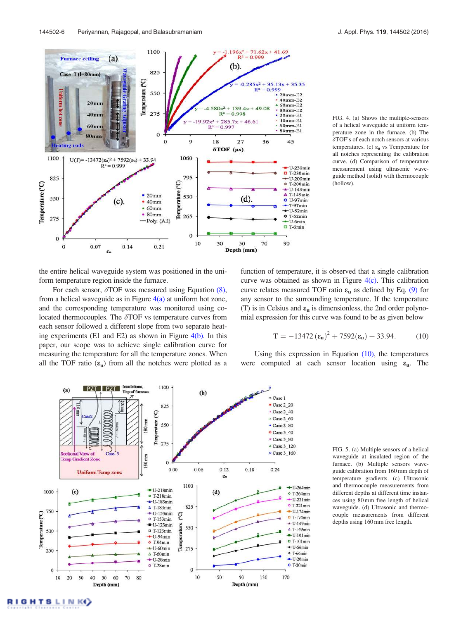

FIG. 4. (a) Shows the multiple-sensors of a helical waveguide at uniform temperature zone in the furnace. (b) The  $\delta$ TOF's of each notch sensors at various temperatures. (c)  $\varepsilon_u$  vs Temperature for all notches representing the calibration curve. (d) Comparison of temperature measurement using ultrasonic waveguide method (solid) with thermocouple (hollow).

the entire helical waveguide system was positioned in the uniform temperature region inside the furnace.

For each sensor,  $\delta$ TOF was measured using Equation (8), from a helical waveguide as in Figure  $4(a)$  at uniform hot zone, and the corresponding temperature was monitored using colocated thermocouples. The  $\delta$ TOF vs temperature curves from each sensor followed a different slope from two separate heating experiments (E1 and E2) as shown in Figure 4(b). In this paper, our scope was to achieve single calibration curve for measuring the temperature for all the temperature zones. When all the TOF ratio  $(\epsilon_{\rm u})$  from all the notches were plotted as a function of temperature, it is observed that a single calibration curve was obtained as shown in Figure  $4(c)$ . This calibration curve relates measured TOF ratio  $\varepsilon_u$  as defined by Eq. (9) for any sensor to the surrounding temperature. If the temperature (T) is in Celsius and  $\varepsilon_{\rm u}$  is dimensionless, the 2nd order polynomial expression for this curve was found to be as given below

$$
T = -13472 \left(\epsilon_{\mathbf{u}}\right)^2 + 7592 \left(\epsilon_{\mathbf{u}}\right) + 33.94. \tag{10}
$$

Using this expression in Equation  $(10)$ , the temperatures were computed at each sensor location using  $\varepsilon_{\rm u}$ . The



FIG. 5. (a) Multiple sensors of a helical waveguide at insulated region of the furnace. (b) Multiple sensors waveguide calibration from 160 mm depth of temperature gradients. (c) Ultrasonic and thermocouple measurements from different depths at different time instances using 80 mm free length of helical waveguide. (d) Ultrasonic and thermocouple measurements from different depths using 160 mm free length.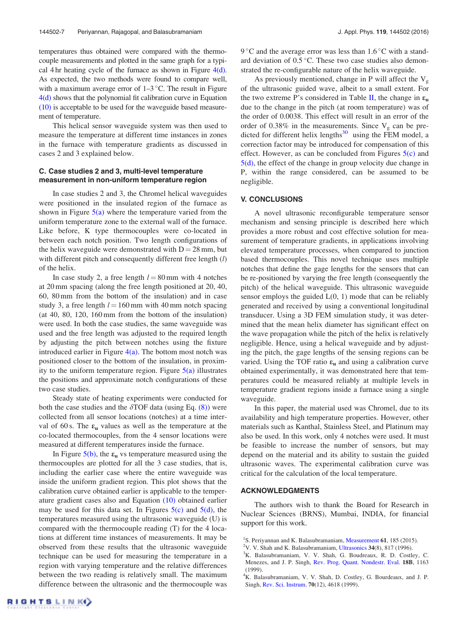temperatures thus obtained were compared with the thermocouple measurements and plotted in the same graph for a typical 4 hr heating cycle of the furnace as shown in Figure  $4(d)$ . As expected, the two methods were found to compare well, with a maximum average error of  $1-3$  °C. The result in Figure 4(d) shows that the polynomial fit calibration curve in Equation (10) is acceptable to be used for the waveguide based measurement of temperature.

This helical sensor waveguide system was then used to measure the temperature at different time instances in zones in the furnace with temperature gradients as discussed in cases 2 and 3 explained below.

### C. Case studies 2 and 3, multi-level temperature measurement in non-uniform temperature region

In case studies 2 and 3, the Chromel helical waveguides were positioned in the insulated region of the furnace as shown in Figure  $5(a)$  where the temperature varied from the uniform temperature zone to the external wall of the furnace. Like before, K type thermocouples were co-located in between each notch position. Two length configurations of the helix waveguide were demonstrated with  $D = 28$  mm, but with different pitch and consequently different free length (l) of the helix.

In case study 2, a free length  $l = 80$  mm with 4 notches at 20 mm spacing (along the free length positioned at 20, 40, 60, 80 mm from the bottom of the insulation) and in case study 3, a free length  $l = 160$  mm with 40 mm notch spacing (at 40, 80, 120, 160 mm from the bottom of the insulation) were used. In both the case studies, the same waveguide was used and the free length was adjusted to the required length by adjusting the pitch between notches using the fixture introduced earlier in Figure  $4(a)$ . The bottom most notch was positioned closer to the bottom of the insulation, in proximity to the uniform temperature region. Figure  $5(a)$  illustrates the positions and approximate notch configurations of these two case studies.

Steady state of heating experiments were conducted for both the case studies and the  $\delta$ TOF data (using Eq. (8)) were collected from all sensor locations (notches) at a time interval of 60 s. The  $\varepsilon_u$  values as well as the temperature at the co-located thermocouples, from the 4 sensor locations were measured at different temperatures inside the furnace.

In Figure  $5(b)$ , the  $\varepsilon_u$  vs temperature measured using the thermocouples are plotted for all the 3 case studies, that is, including the earlier case where the entire waveguide was inside the uniform gradient region. This plot shows that the calibration curve obtained earlier is applicable to the temperature gradient cases also and Equation (10) obtained earlier may be used for this data set. In Figures  $5(c)$  and  $5(d)$ , the temperatures measured using the ultrasonic waveguide (U) is compared with the thermocouple reading (T) for the 4 locations at different time instances of measurements. It may be observed from these results that the ultrasonic waveguide technique can be used for measuring the temperature in a region with varying temperature and the relative differences between the two reading is relatively small. The maximum difference between the ultrasonic and the thermocouple was

9 °C and the average error was less than 1.6 °C with a standard deviation of  $0.5\,^{\circ}\text{C}$ . These two case studies also demonstrated the re-configurable nature of the helix waveguide.

As previously mentioned, change in P will affect the  $V_{\varphi}$ of the ultrasonic guided wave, albeit to a small extent. For the two extreme P's considered in Table II, the change in  $\varepsilon_u$ due to the change in the pitch (at room temperature) was of the order of 0.0038. This effect will result in an error of the order of 0.38% in the measurements. Since  $V_g$  can be predicted for different helix lengths $30$  using the FEM model, a correction factor may be introduced for compensation of this effect. However, as can be concluded from Figures  $5(c)$  and 5(d), the effect of the change in group velocity due change in P, within the range considered, can be assumed to be negligible.

#### V. CONCLUSIONS

A novel ultrasonic reconfigurable temperature sensor mechanism and sensing principle is described here which provides a more robust and cost effective solution for measurement of temperature gradients, in applications involving elevated temperature processes, when compared to junction based thermocouples. This novel technique uses multiple notches that define the gage lengths for the sensors that can be re-positioned by varying the free length (consequently the pitch) of the helical waveguide. This ultrasonic waveguide sensor employs the guided  $L(0, 1)$  mode that can be reliably generated and received by using a conventional longitudinal transducer. Using a 3D FEM simulation study, it was determined that the mean helix diameter has significant effect on the wave propagation while the pitch of the helix is relatively negligible. Hence, using a helical waveguide and by adjusting the pitch, the gage lengths of the sensing regions can be varied. Using the TOF ratio  $\varepsilon_u$  and using a calibration curve obtained experimentally, it was demonstrated here that temperatures could be measured reliably at multiple levels in temperature gradient regions inside a furnace using a single waveguide.

In this paper, the material used was Chromel, due to its availability and high temperature properties. However, other materials such as Kanthal, Stainless Steel, and Platinum may also be used. In this work, only 4 notches were used. It must be feasible to increase the number of sensors, but may depend on the material and its ability to sustain the guided ultrasonic waves. The experimental calibration curve was critical for the calculation of the local temperature.

## ACKNOWLEDGMENTS

The authors wish to thank the Board for Research in Nuclear Sciences (BRNS), Mumbai, INDIA, for financial support for this work.

<sup>&</sup>lt;sup>1</sup>S. Periyannan and K. Balasubramaniam, Measurement 61, 185 (2015).

<sup>&</sup>lt;sup>2</sup>V. V. Shah and K. Balasubramaniam, Ultrasonics  $34(8)$ , 817 (1996).

<sup>&</sup>lt;sup>3</sup>K. Balasubramaniam, V. V. Shah, G. Boudreaux, R. D. Costley, C. Menezes, and J. P. Singh, Rev. Prog. Quant. Nondestr. Eval. 18B, 1163 (1999).

<sup>&</sup>lt;sup>4</sup>K. Balasubramaniam, V. V. Shah, D. Costley, G. Bourdeaux, and J. P. Singh, Rev. Sci. Instrum. 70(12), 4618 (1999).